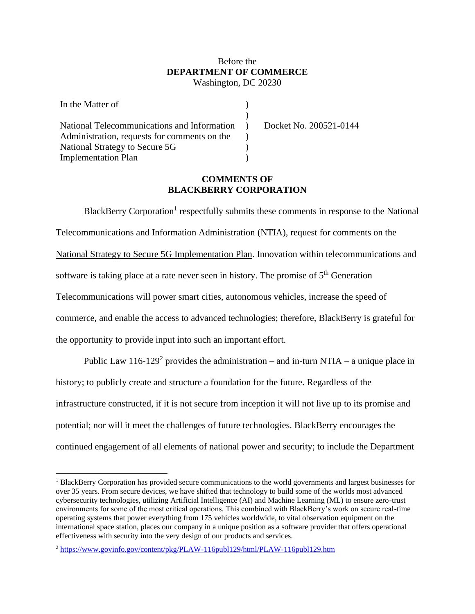# Before the **DEPARTMENT OF COMMERCE** Washington, DC 20230

| In the Matter of                             |  |
|----------------------------------------------|--|
|                                              |  |
| National Telecommunications and Information  |  |
| Administration, requests for comments on the |  |
| National Strategy to Secure 5G               |  |
| <b>Implementation Plan</b>                   |  |

Docket No. 200521-0144

# **COMMENTS OF BLACKBERRY CORPORATION**

BlackBerry Corporation<sup>1</sup> respectfully submits these comments in response to the National Telecommunications and Information Administration (NTIA), request for comments on the National Strategy to Secure 5G Implementation Plan. Innovation within telecommunications and software is taking place at a rate never seen in history. The promise of  $5<sup>th</sup>$  Generation Telecommunications will power smart cities, autonomous vehicles, increase the speed of commerce, and enable the access to advanced technologies; therefore, BlackBerry is grateful for the opportunity to provide input into such an important effort.

Public Law 116-129<sup>2</sup> provides the administration – and in-turn NTIA – a unique place in history; to publicly create and structure a foundation for the future. Regardless of the infrastructure constructed, if it is not secure from inception it will not live up to its promise and potential; nor will it meet the challenges of future technologies. BlackBerry encourages the continued engagement of all elements of national power and security; to include the Department

<sup>1</sup> BlackBerry Corporation has provided secure communications to the world governments and largest businesses for over 35 years. From secure devices, we have shifted that technology to build some of the worlds most advanced cybersecurity technologies, utilizing Artificial Intelligence (AI) and Machine Learning (ML) to ensure zero-trust environments for some of the most critical operations. This combined with BlackBerry's work on secure real-time operating systems that power everything from 175 vehicles worldwide, to vital observation equipment on the international space station, places our company in a unique position as a software provider that offers operational effectiveness with security into the very design of our products and services.

<sup>2</sup> <https://www.govinfo.gov/content/pkg/PLAW-116publ129/html/PLAW-116publ129.htm>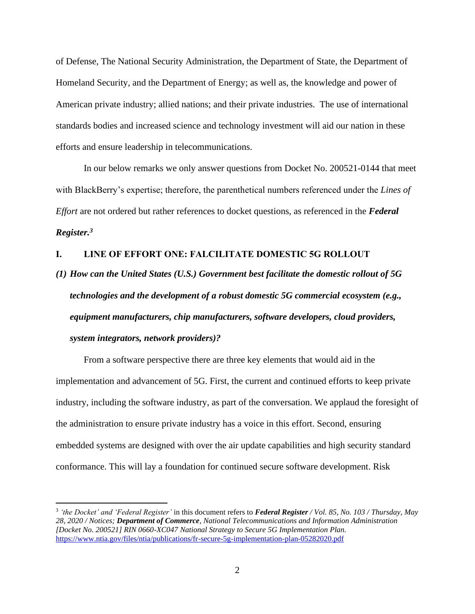of Defense, The National Security Administration, the Department of State, the Department of Homeland Security, and the Department of Energy; as well as, the knowledge and power of American private industry; allied nations; and their private industries. The use of international standards bodies and increased science and technology investment will aid our nation in these efforts and ensure leadership in telecommunications.

In our below remarks we only answer questions from Docket No. 200521-0144 that meet with BlackBerry's expertise; therefore, the parenthetical numbers referenced under the *Lines of Effort* are not ordered but rather references to docket questions, as referenced in the *Federal Register.<sup>3</sup>*

# **I. LINE OF EFFORT ONE: FALCILITATE DOMESTIC 5G ROLLOUT**

*(1) How can the United States (U.S.) Government best facilitate the domestic rollout of 5G technologies and the development of a robust domestic 5G commercial ecosystem (e.g., equipment manufacturers, chip manufacturers, software developers, cloud providers, system integrators, network providers)?* 

From a software perspective there are three key elements that would aid in the implementation and advancement of 5G. First, the current and continued efforts to keep private industry, including the software industry, as part of the conversation. We applaud the foresight of the administration to ensure private industry has a voice in this effort. Second, ensuring embedded systems are designed with over the air update capabilities and high security standard conformance. This will lay a foundation for continued secure software development. Risk

<sup>3</sup> *'the Docket' and 'Federal Register'* in this document refers to *Federal Register / Vol. 85, No. 103 / Thursday, May 28, 2020 / Notices; Department of Commerce, National Telecommunications and Information Administration [Docket No. 200521] RIN 0660-XC047 National Strategy to Secure 5G Implementation Plan.*  <https://www.ntia.gov/files/ntia/publications/fr-secure-5g-implementation-plan-05282020.pdf>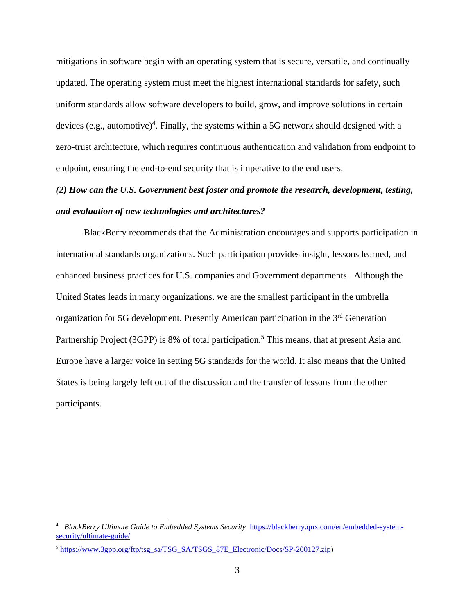mitigations in software begin with an operating system that is secure, versatile, and continually updated. The operating system must meet the highest international standards for safety, such uniform standards allow software developers to build, grow, and improve solutions in certain devices (e.g., automotive)<sup>4</sup>. Finally, the systems within a 5G network should designed with a zero-trust architecture, which requires continuous authentication and validation from endpoint to endpoint, ensuring the end-to-end security that is imperative to the end users.

# *(2) How can the U.S. Government best foster and promote the research, development, testing, and evaluation of new technologies and architectures?*

BlackBerry recommends that the Administration encourages and supports participation in international standards organizations. Such participation provides insight, lessons learned, and enhanced business practices for U.S. companies and Government departments. Although the United States leads in many organizations, we are the smallest participant in the umbrella organization for 5G development. Presently American participation in the 3rd Generation Partnership Project (3GPP) is 8% of total participation.<sup>5</sup> This means, that at present Asia and Europe have a larger voice in setting 5G standards for the world. It also means that the United States is being largely left out of the discussion and the transfer of lessons from the other participants.

<sup>4</sup> *BlackBerry Ultimate Guide to Embedded Systems Security* [https://blackberry.qnx.com/en/embedded-system](https://blackberry.qnx.com/en/embedded-system-security/ultimate-guide/)[security/ultimate-guide/](https://blackberry.qnx.com/en/embedded-system-security/ultimate-guide/)

<sup>&</sup>lt;sup>5</sup> [https://www.3gpp.org/ftp/tsg\\_sa/TSG\\_SA/TSGS\\_87E\\_Electronic/Docs/SP-200127.zip\)](https://www.3gpp.org/ftp/tsg_sa/TSG_SA/TSGS_87E_Electronic/Docs/SP-200127.zip)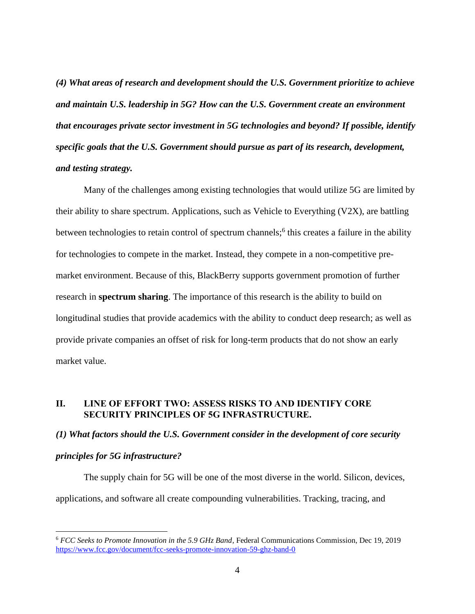*(4) What areas of research and development should the U.S. Government prioritize to achieve and maintain U.S. leadership in 5G? How can the U.S. Government create an environment that encourages private sector investment in 5G technologies and beyond? If possible, identify specific goals that the U.S. Government should pursue as part of its research, development, and testing strategy.* 

Many of the challenges among existing technologies that would utilize 5G are limited by their ability to share spectrum. Applications, such as Vehicle to Everything (V2X), are battling between technologies to retain control of spectrum channels;<sup>6</sup> this creates a failure in the ability for technologies to compete in the market. Instead, they compete in a non-competitive premarket environment. Because of this, BlackBerry supports government promotion of further research in **spectrum sharing**. The importance of this research is the ability to build on longitudinal studies that provide academics with the ability to conduct deep research; as well as provide private companies an offset of risk for long-term products that do not show an early market value.

# **II. LINE OF EFFORT TWO: ASSESS RISKS TO AND IDENTIFY CORE SECURITY PRINCIPLES OF 5G INFRASTRUCTURE.**

# *(1) What factors should the U.S. Government consider in the development of core security*

# *principles for 5G infrastructure?*

The supply chain for 5G will be one of the most diverse in the world. Silicon, devices, applications, and software all create compounding vulnerabilities. Tracking, tracing, and

<sup>6</sup> *FCC Seeks to Promote Innovation in the 5.9 GHz Band,* Federal Communications Commission, Dec 19, 2019 <https://www.fcc.gov/document/fcc-seeks-promote-innovation-59-ghz-band-0>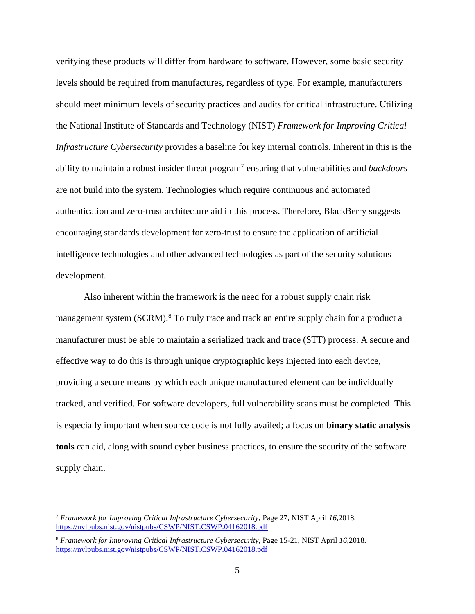verifying these products will differ from hardware to software. However, some basic security levels should be required from manufactures, regardless of type. For example, manufacturers should meet minimum levels of security practices and audits for critical infrastructure. Utilizing the National Institute of Standards and Technology (NIST) *Framework for Improving Critical Infrastructure Cybersecurity* provides a baseline for key internal controls. Inherent in this is the ability to maintain a robust insider threat program<sup>7</sup> ensuring that vulnerabilities and *backdoors*  are not build into the system. Technologies which require continuous and automated authentication and zero-trust architecture aid in this process. Therefore, BlackBerry suggests encouraging standards development for zero-trust to ensure the application of artificial intelligence technologies and other advanced technologies as part of the security solutions development.

Also inherent within the framework is the need for a robust supply chain risk management system (SCRM).<sup>8</sup> To truly trace and track an entire supply chain for a product a manufacturer must be able to maintain a serialized track and trace (STT) process. A secure and effective way to do this is through unique cryptographic keys injected into each device, providing a secure means by which each unique manufactured element can be individually tracked, and verified. For software developers, full vulnerability scans must be completed. This is especially important when source code is not fully availed; a focus on **binary static analysis tools** can aid, along with sound cyber business practices, to ensure the security of the software supply chain.

<sup>7</sup> *Framework for Improving Critical Infrastructure Cybersecurity,* Page 27, NIST April *16,*2018*.*  <https://nvlpubs.nist.gov/nistpubs/CSWP/NIST.CSWP.04162018.pdf>

<sup>8</sup> *Framework for Improving Critical Infrastructure Cybersecurity,* Page 15-21, NIST April *16,*2018*.*  <https://nvlpubs.nist.gov/nistpubs/CSWP/NIST.CSWP.04162018.pdf>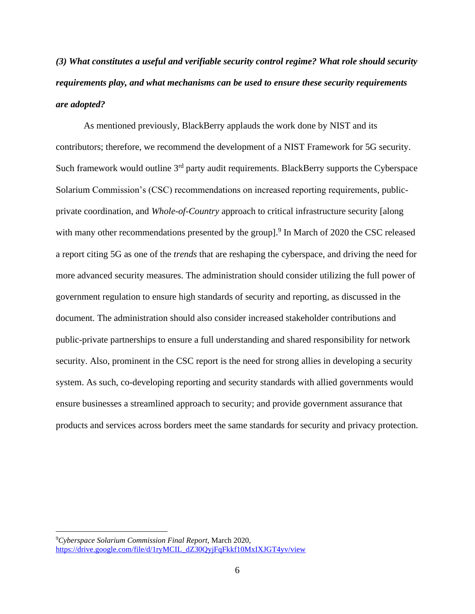*(3) What constitutes a useful and verifiable security control regime? What role should security requirements play, and what mechanisms can be used to ensure these security requirements are adopted?*

As mentioned previously, BlackBerry applauds the work done by NIST and its contributors; therefore, we recommend the development of a NIST Framework for 5G security. Such framework would outline 3<sup>rd</sup> party audit requirements. BlackBerry supports the Cyberspace Solarium Commission's (CSC) recommendations on increased reporting requirements, publicprivate coordination, and *Whole-of-Country* approach to critical infrastructure security [along with many other recommendations presented by the group].<sup>9</sup> In March of 2020 the CSC released a report citing 5G as one of the *trends* that are reshaping the cyberspace, and driving the need for more advanced security measures. The administration should consider utilizing the full power of government regulation to ensure high standards of security and reporting, as discussed in the document. The administration should also consider increased stakeholder contributions and public-private partnerships to ensure a full understanding and shared responsibility for network security. Also, prominent in the CSC report is the need for strong allies in developing a security system. As such, co-developing reporting and security standards with allied governments would ensure businesses a streamlined approach to security; and provide government assurance that products and services across borders meet the same standards for security and privacy protection.

<sup>9</sup>*Cyberspace Solarium Commission Final Report,* March 2020, [https://drive.google.com/file/d/1ryMCIL\\_dZ30QyjFqFkkf10MxIXJGT4yv/view](https://drive.google.com/file/d/1ryMCIL_dZ30QyjFqFkkf10MxIXJGT4yv/view)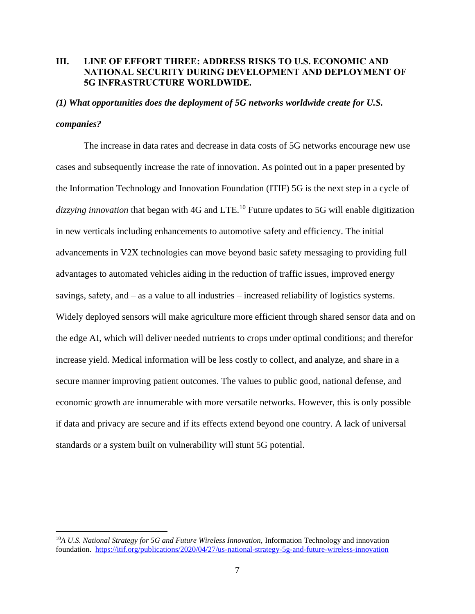# **III. LINE OF EFFORT THREE: ADDRESS RISKS TO U.S. ECONOMIC AND NATIONAL SECURITY DURING DEVELOPMENT AND DEPLOYMENT OF 5G INFRASTRUCTURE WORLDWIDE.**

#### *(1) What opportunities does the deployment of 5G networks worldwide create for U.S.*

### *companies?*

The increase in data rates and decrease in data costs of 5G networks encourage new use cases and subsequently increase the rate of innovation. As pointed out in a paper presented by the Information Technology and Innovation Foundation (ITIF) 5G is the next step in a cycle of dizzying innovation that began with 4G and LTE.<sup>10</sup> Future updates to 5G will enable digitization in new verticals including enhancements to automotive safety and efficiency. The initial advancements in V2X technologies can move beyond basic safety messaging to providing full advantages to automated vehicles aiding in the reduction of traffic issues, improved energy savings, safety, and – as a value to all industries – increased reliability of logistics systems. Widely deployed sensors will make agriculture more efficient through shared sensor data and on the edge AI, which will deliver needed nutrients to crops under optimal conditions; and therefor increase yield. Medical information will be less costly to collect, and analyze, and share in a secure manner improving patient outcomes. The values to public good, national defense, and economic growth are innumerable with more versatile networks. However, this is only possible if data and privacy are secure and if its effects extend beyond one country. A lack of universal standards or a system built on vulnerability will stunt 5G potential.

<sup>&</sup>lt;sup>10</sup>A U.S. National Strategy for 5G and Future Wireless Innovation, Information Technology and innovation foundation. <https://itif.org/publications/2020/04/27/us-national-strategy-5g-and-future-wireless-innovation>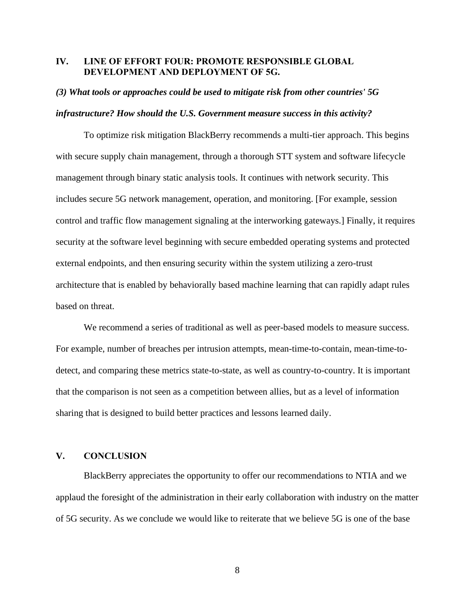# **IV. LINE OF EFFORT FOUR: PROMOTE RESPONSIBLE GLOBAL DEVELOPMENT AND DEPLOYMENT OF 5G.**

#### *(3) What tools or approaches could be used to mitigate risk from other countries' 5G*

#### *infrastructure? How should the U.S. Government measure success in this activity?*

To optimize risk mitigation BlackBerry recommends a multi-tier approach. This begins with secure supply chain management, through a thorough STT system and software lifecycle management through binary static analysis tools. It continues with network security. This includes secure 5G network management, operation, and monitoring. [For example, session control and traffic flow management signaling at the interworking gateways.] Finally, it requires security at the software level beginning with secure embedded operating systems and protected external endpoints, and then ensuring security within the system utilizing a zero-trust architecture that is enabled by behaviorally based machine learning that can rapidly adapt rules based on threat.

We recommend a series of traditional as well as peer-based models to measure success. For example, number of breaches per intrusion attempts, mean-time-to-contain, mean-time-todetect, and comparing these metrics state-to-state, as well as country-to-country. It is important that the comparison is not seen as a competition between allies, but as a level of information sharing that is designed to build better practices and lessons learned daily.

## **V. CONCLUSION**

BlackBerry appreciates the opportunity to offer our recommendations to NTIA and we applaud the foresight of the administration in their early collaboration with industry on the matter of 5G security. As we conclude we would like to reiterate that we believe 5G is one of the base

8